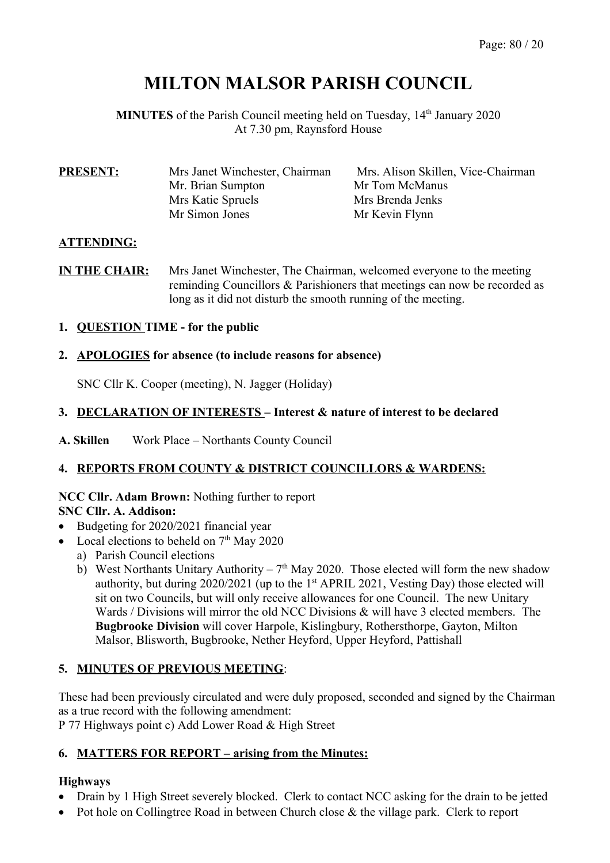# **MILTON MALSOR PARISH COUNCIL**

**MINUTES** of the Parish Council meeting held on Tuesday, 14<sup>th</sup> January 2020 At 7.30 pm, Raynsford House

| Mrs Janet Winchester, Chairman | Mrs. Alison Skillen, Vice-Chairman |  |
|--------------------------------|------------------------------------|--|
| Mr. Brian Sumpton              | Mr Tom McManus                     |  |
| Mrs Katie Spruels              | Mrs Brenda Jenks                   |  |
| Mr Simon Jones                 | Mr Kevin Flynn                     |  |
|                                |                                    |  |

# **ATTENDING:**

**IN THE CHAIR:** Mrs Janet Winchester, The Chairman, welcomed everyone to the meeting reminding Councillors & Parishioners that meetings can now be recorded as long as it did not disturb the smooth running of the meeting.

# **1. QUESTION TIME - for the public**

#### **2. APOLOGIES for absence (to include reasons for absence)**

SNC Cllr K. Cooper (meeting), N. Jagger (Holiday)

# **3. DECLARATION OF INTERESTS – Interest & nature of interest to be declared**

**A. Skillen** Work Place – Northants County Council

#### **4. REPORTS FROM COUNTY & DISTRICT COUNCILLORS & WARDENS:**

#### **NCC Cllr. Adam Brown:** Nothing further to report **SNC Cllr. A. Addison:**

- Budgeting for 2020/2021 financial year
- Local elections to beheld on  $7<sup>th</sup>$  May 2020
	- a) Parish Council elections
	- b) West Northants Unitary Authority  $7<sup>th</sup>$  May 2020. Those elected will form the new shadow authority, but during  $2020/2021$  (up to the 1<sup>st</sup> APRIL 2021, Vesting Day) those elected will sit on two Councils, but will only receive allowances for one Council. The new Unitary Wards / Divisions will mirror the old NCC Divisions  $\&$  will have 3 elected members. The **Bugbrooke Division** will cover Harpole, Kislingbury, Rothersthorpe, Gayton, Milton Malsor, Blisworth, Bugbrooke, Nether Heyford, Upper Heyford, Pattishall

# **5. MINUTES OF PREVIOUS MEETING**:

These had been previously circulated and were duly proposed, seconded and signed by the Chairman as a true record with the following amendment:

P 77 Highways point c) Add Lower Road & High Street

#### **6. MATTERS FOR REPORT – arising from the Minutes:**

# **Highways**

- Drain by 1 High Street severely blocked. Clerk to contact NCC asking for the drain to be jetted
- Pot hole on Collingtree Road in between Church close & the village park. Clerk to report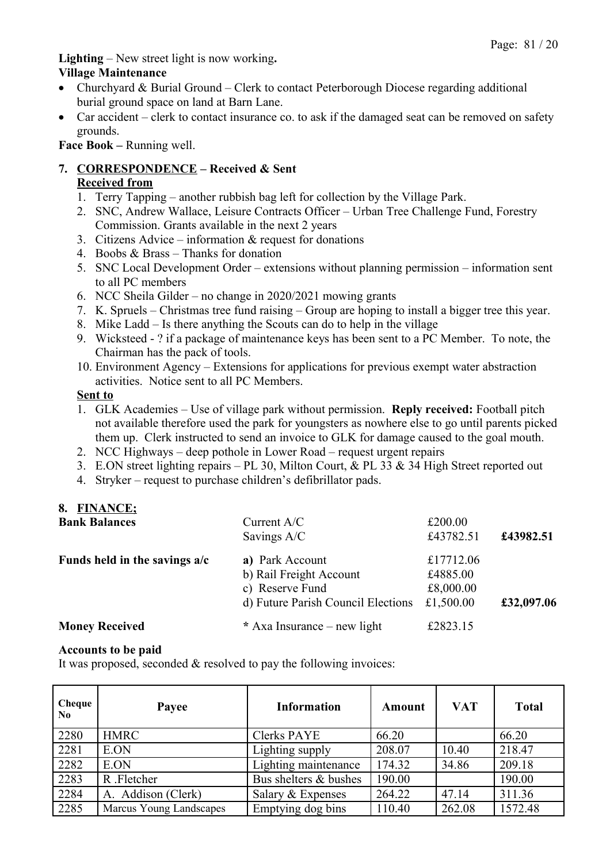**Lighting** – New street light is now working**.**

#### **Village Maintenance**

- Churchyard & Burial Ground Clerk to contact Peterborough Diocese regarding additional burial ground space on land at Barn Lane.
- Car accident clerk to contact insurance co. to ask if the damaged seat can be removed on safety grounds.

**Face Book –** Running well.

# **7. CORRESPONDENCE – Received & Sent**

#### **Received from**

- 1. Terry Tapping another rubbish bag left for collection by the Village Park.
- 2. SNC, Andrew Wallace, Leisure Contracts Officer Urban Tree Challenge Fund, Forestry Commission. Grants available in the next 2 years
- 3. Citizens Advice information & request for donations
- 4. Boobs & Brass Thanks for donation
- 5. SNC Local Development Order extensions without planning permission information sent to all PC members
- 6. NCC Sheila Gilder no change in 2020/2021 mowing grants
- 7. K. Spruels Christmas tree fund raising Group are hoping to install a bigger tree this year.
- 8. Mike Ladd Is there anything the Scouts can do to help in the village
- 9. Wicksteed ? if a package of maintenance keys has been sent to a PC Member. To note, the Chairman has the pack of tools.
- 10. Environment Agency Extensions for applications for previous exempt water abstraction activities. Notice sent to all PC Members.

#### **Sent to**

- 1. GLK Academies Use of village park without permission. **Reply received:** Football pitch not available therefore used the park for youngsters as nowhere else to go until parents picked them up. Clerk instructed to send an invoice to GLK for damage caused to the goal mouth.
- 2. NCC Highways deep pothole in Lower Road request urgent repairs
- 3. E.ON street lighting repairs PL 30, Milton Court, & PL 33 & 34 High Street reported out
- 4. Stryker request to purchase children's defibrillator pads.

# **8. FINANCE;**

| <b>Bank Balances</b>            | Current $A/C$                      | £200.00   |            |
|---------------------------------|------------------------------------|-----------|------------|
|                                 | Savings A/C                        | £43782.51 | £43982.51  |
| Funds held in the savings $a/c$ | a) Park Account                    | £17712.06 |            |
|                                 | b) Rail Freight Account            | £4885.00  |            |
|                                 | c) Reserve Fund                    | £8,000.00 |            |
|                                 | d) Future Parish Council Elections | £1,500.00 | £32,097.06 |
| <b>Money Received</b>           | * Axa Insurance – new light        | £2823.15  |            |

#### **Accounts to be paid**

It was proposed, seconded & resolved to pay the following invoices:

| Cheque<br>No. | Payee                   | <b>Information</b>    | Amount | <b>VAT</b> | <b>Total</b> |
|---------------|-------------------------|-----------------------|--------|------------|--------------|
| 2280          | <b>HMRC</b>             | <b>Clerks PAYE</b>    | 66.20  |            | 66.20        |
| 2281          | E.ON                    | Lighting supply       | 208.07 | 10.40      | 218.47       |
| 2282          | E.ON                    | Lighting maintenance  | 174.32 | 34.86      | 209.18       |
| 2283          | R .Fletcher             | Bus shelters & bushes | 190.00 |            | 190.00       |
| 2284          | A. Addison (Clerk)      | Salary & Expenses     | 264.22 | 47.14      | 311.36       |
| 2285          | Marcus Young Landscapes | Emptying dog bins     | 110.40 | 262.08     | 1572.48      |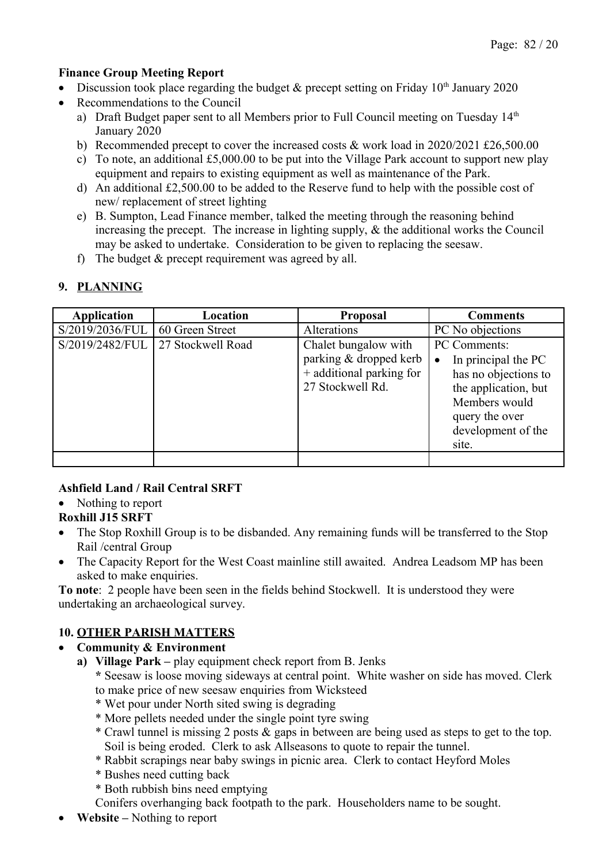#### **Finance Group Meeting Report**

- Discussion took place regarding the budget  $\&$  precept setting on Friday 10<sup>th</sup> January 2020
- Recommendations to the Council
	- a) Draft Budget paper sent to all Members prior to Full Council meeting on Tuesday  $14<sup>th</sup>$ January 2020
	- b) Recommended precept to cover the increased costs & work load in 2020/2021 £26,500.00
	- c) To note, an additional £5,000.00 to be put into the Village Park account to support new play equipment and repairs to existing equipment as well as maintenance of the Park.
	- d) An additional £2,500.00 to be added to the Reserve fund to help with the possible cost of new/ replacement of street lighting
	- e) B. Sumpton, Lead Finance member, talked the meeting through the reasoning behind increasing the precept. The increase in lighting supply, & the additional works the Council may be asked to undertake. Consideration to be given to replacing the seesaw.
	- f) The budget & precept requirement was agreed by all.

# **9. PLANNING**

| <b>Application</b> | Location          | <b>Proposal</b>                                                                                | <b>Comments</b>                                                                                                                                                    |
|--------------------|-------------------|------------------------------------------------------------------------------------------------|--------------------------------------------------------------------------------------------------------------------------------------------------------------------|
| S/2019/2036/FUL    | 60 Green Street   | Alterations                                                                                    | PC No objections                                                                                                                                                   |
| S/2019/2482/FUL    | 27 Stockwell Road | Chalet bungalow with<br>parking & dropped kerb<br>+ additional parking for<br>27 Stockwell Rd. | PC Comments:<br>In principal the PC<br>$\bullet$<br>has no objections to<br>the application, but<br>Members would<br>query the over<br>development of the<br>site. |
|                    |                   |                                                                                                |                                                                                                                                                                    |

# **Ashfield Land / Rail Central SRFT**

• Nothing to report

#### **Roxhill J15 SRFT**

- The Stop Roxhill Group is to be disbanded. Any remaining funds will be transferred to the Stop Rail /central Group
- The Capacity Report for the West Coast mainline still awaited. Andrea Leadsom MP has been asked to make enquiries.

**To note**: 2 people have been seen in the fields behind Stockwell. It is understood they were undertaking an archaeological survey.

#### **10. OTHER PARISH MATTERS**

#### **Community & Environment**

**a) Village Park –** play equipment check report from B. Jenks

**\*** Seesaw is loose moving sideways at central point. White washer on side has moved. Clerk to make price of new seesaw enquiries from Wicksteed

- \* Wet pour under North sited swing is degrading
- \* More pellets needed under the single point tyre swing
- \* Crawl tunnel is missing 2 posts & gaps in between are being used as steps to get to the top. Soil is being eroded. Clerk to ask Allseasons to quote to repair the tunnel.
- \* Rabbit scrapings near baby swings in picnic area. Clerk to contact Heyford Moles
- \* Bushes need cutting back
- \* Both rubbish bins need emptying

Conifers overhanging back footpath to the park. Householders name to be sought.

**Website –** Nothing to report